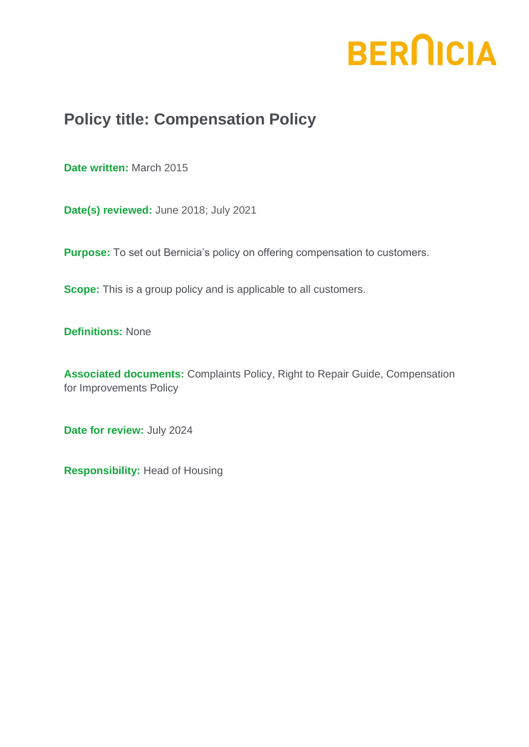# **BERNICIA**

# **Policy title: Compensation Policy**

**Date written:** March 2015

**Date(s) reviewed:** June 2018; July 2021

**Purpose:** To set out Bernicia's policy on offering compensation to customers.

**Scope:** This is a group policy and is applicable to all customers.

**Definitions:** None

**Associated documents:** Complaints Policy, Right to Repair Guide, Compensation for Improvements Policy

**Date for review:** July 2024

**Responsibility:** Head of Housing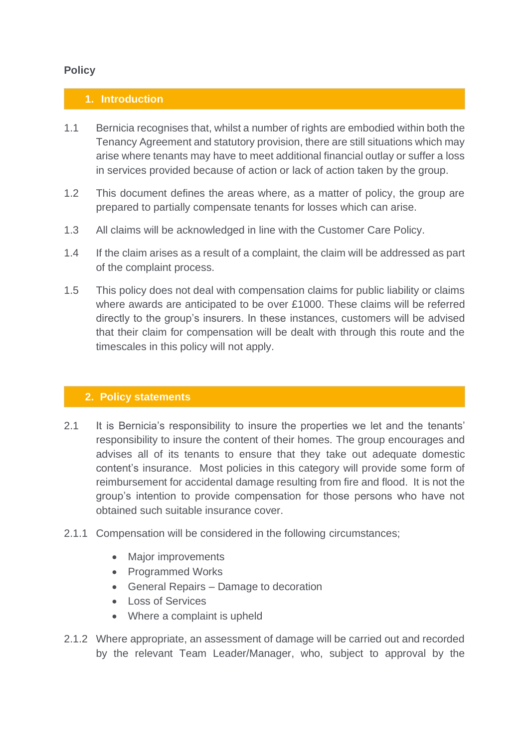## **Policy**

#### **1. Introduction**

- 1.1 Bernicia recognises that, whilst a number of rights are embodied within both the Tenancy Agreement and statutory provision, there are still situations which may arise where tenants may have to meet additional financial outlay or suffer a loss in services provided because of action or lack of action taken by the group.
- 1.2 This document defines the areas where, as a matter of policy, the group are prepared to partially compensate tenants for losses which can arise.
- 1.3 All claims will be acknowledged in line with the Customer Care Policy.
- 1.4 If the claim arises as a result of a complaint, the claim will be addressed as part of the complaint process.
- 1.5 This policy does not deal with compensation claims for public liability or claims where awards are anticipated to be over £1000. These claims will be referred directly to the group's insurers. In these instances, customers will be advised that their claim for compensation will be dealt with through this route and the timescales in this policy will not apply.

#### **2. Policy statements**

- 2.1 It is Bernicia's responsibility to insure the properties we let and the tenants' responsibility to insure the content of their homes. The group encourages and advises all of its tenants to ensure that they take out adequate domestic content's insurance. Most policies in this category will provide some form of reimbursement for accidental damage resulting from fire and flood. It is not the group's intention to provide compensation for those persons who have not obtained such suitable insurance cover.
- 2.1.1 Compensation will be considered in the following circumstances;
	- Major improvements
	- Programmed Works
	- General Repairs Damage to decoration
	- Loss of Services
	- Where a complaint is upheld
- 2.1.2 Where appropriate, an assessment of damage will be carried out and recorded by the relevant Team Leader/Manager, who, subject to approval by the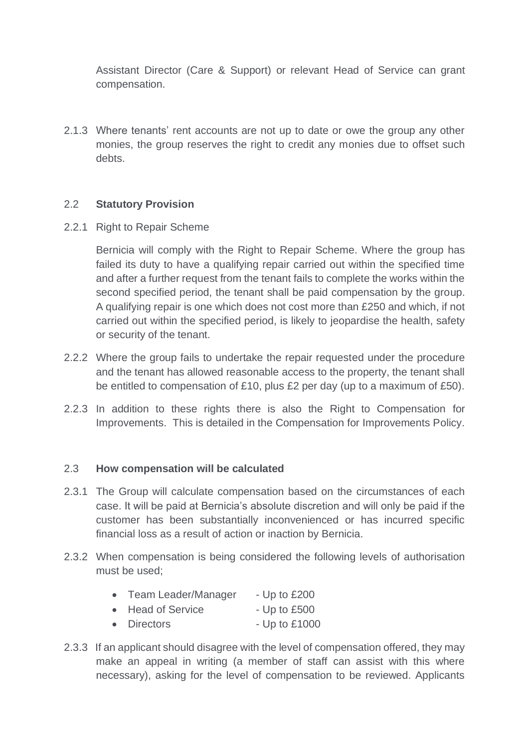Assistant Director (Care & Support) or relevant Head of Service can grant compensation.

2.1.3 Where tenants' rent accounts are not up to date or owe the group any other monies, the group reserves the right to credit any monies due to offset such debts.

#### 2.2 **Statutory Provision**

2.2.1 Right to Repair Scheme

Bernicia will comply with the Right to Repair Scheme. Where the group has failed its duty to have a qualifying repair carried out within the specified time and after a further request from the tenant fails to complete the works within the second specified period, the tenant shall be paid compensation by the group. A qualifying repair is one which does not cost more than £250 and which, if not carried out within the specified period, is likely to jeopardise the health, safety or security of the tenant.

- 2.2.2 Where the group fails to undertake the repair requested under the procedure and the tenant has allowed reasonable access to the property, the tenant shall be entitled to compensation of £10, plus £2 per day (up to a maximum of £50).
- 2.2.3 In addition to these rights there is also the Right to Compensation for Improvements. This is detailed in the Compensation for Improvements Policy.

#### 2.3 **How compensation will be calculated**

- 2.3.1 The Group will calculate compensation based on the circumstances of each case. It will be paid at Bernicia's absolute discretion and will only be paid if the customer has been substantially inconvenienced or has incurred specific financial loss as a result of action or inaction by Bernicia.
- 2.3.2 When compensation is being considered the following levels of authorisation must be used;

| $\bullet$ | <b>Team Leader/Manager</b> | - Up to $£200$ |
|-----------|----------------------------|----------------|
|           | • Head of Service          | - Up to $£500$ |

- Directors Up to £1000
- 2.3.3 If an applicant should disagree with the level of compensation offered, they may make an appeal in writing (a member of staff can assist with this where necessary), asking for the level of compensation to be reviewed. Applicants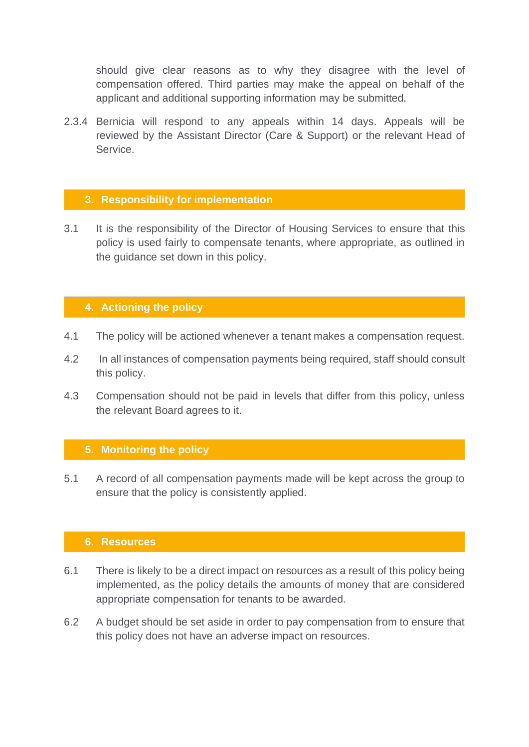should give clear reasons as to why they disagree with the level of compensation offered. Third parties may make the appeal on behalf of the applicant and additional supporting information may be submitted.

2.3.4 Bernicia will respond to any appeals within 14 days. Appeals will be reviewed by the Assistant Director (Care & Support) or the relevant Head of Service.

#### **3. Responsibility for implementation**

3.1 It is the responsibility of the Director of Housing Services to ensure that this policy is used fairly to compensate tenants, where appropriate, as outlined in the guidance set down in this policy.

# **4. Actioning the policy**

- 4.1 The policy will be actioned whenever a tenant makes a compensation request.
- 4.2 In all instances of compensation payments being required, staff should consult this policy.
- 4.3 Compensation should not be paid in levels that differ from this policy, unless the relevant Board agrees to it.

#### **5. Monitoring the policy**

5.1 A record of all compensation payments made will be kept across the group to ensure that the policy is consistently applied.

## **6. Resources**

- 6.1 There is likely to be a direct impact on resources as a result of this policy being implemented, as the policy details the amounts of money that are considered appropriate compensation for tenants to be awarded.
- 6.2 A budget should be set aside in order to pay compensation from to ensure that this policy does not have an adverse impact on resources.